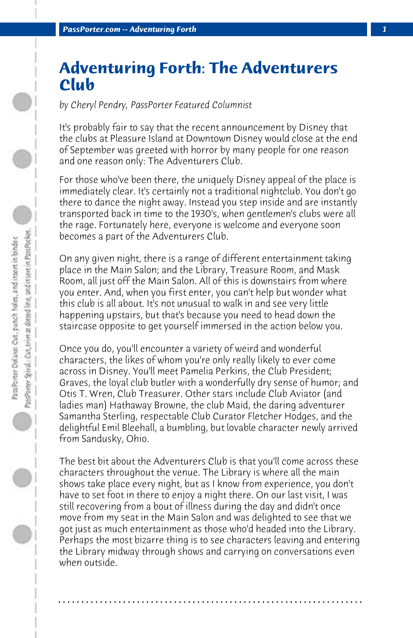## **Adventuring Forth: The Adventurers Club**

*by Cheryl Pendry, PassPorter Featured Columnist*

It's probably fair to say that the recent announcement by Disney that the clubs at Pleasure Island at Downtown Disney would close at the end of September was greeted with horror by many people for one reason and one reason only: The Adventurers Club.

For those who've been there, the uniquely Disney appeal of the place is immediately clear. It's certainly not a traditional nightclub. You don't go there to dance the night away. Instead you step inside and are instantly transported back in time to the 1930's, when gentlemen's clubs were all the rage. Fortunately here, everyone is welcome and everyone soon becomes a part of the Adventurers Club.

On any given night, there is a range of different entertainment taking place in the Main Salon; and the Library, Treasure Room, and Mask Room, all just off the Main Salon. All of this is downstairs from where you enter. And, when you first enter, you can't help but wonder what this club is all about. It's not unusual to walk in and see very little happening upstairs, but that's because you need to head down the staircase opposite to get yourself immersed in the action below you.

Once you do, you'll encounter a variety of weird and wonderful characters, the likes of whom you're only really likely to ever come across in Disney. You'll meet Pamelia Perkins, the Club President; Graves, the loyal club butler with a wonderfully dry sense of humor; and Otis T. Wren, Club Treasurer. Other stars include Club Aviator (and ladies man) Hathaway Browne, the club Maid, the daring adventurer Samantha Sterling, respectable Club Curator Fletcher Hodges, and the delightful Emil Bleehall, a bumbling, but lovable character newly arrived from Sandusky, Ohio.

The best bit about the Adventurers Club is that you'll come across these characters throughout the venue. The Library is where all the main shows take place every night, but as I know from experience, you don't have to set foot in there to enjoy a night there. On our last visit, I was still recovering from a bout of illness during the day and didn't once move from my seat in the Main Salon and was delighted to see that we got just as much entertainment as those who'd headed into the Library. Perhaps the most bizarre thing is to see characters leaving and entering the Library midway through shows and carrying on conversations even when outside.

**. . . . . . . . . . . . . . . . . . . . . . . . . . . . . . . . . . . . . . . . . . . . . . . . . . . . . . . . . . . . . . . . . .**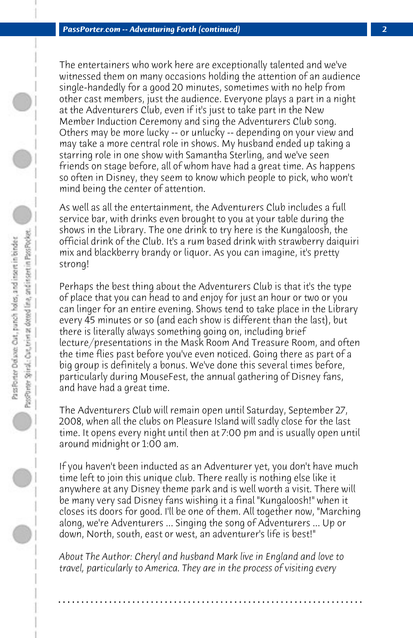The entertainers who work here are exceptionally talented and we've witnessed them on many occasions holding the attention of an audience single-handedly for a good 20 minutes, sometimes with no help from other cast members, just the audience. Everyone plays a part in a night at the Adventurers Club, even if it's just to take part in the New Member Induction Ceremony and sing the Adventurers Club song. Others may be more lucky -- or unlucky -- depending on your view and may take a more central role in shows. My husband ended up taking a starring role in one show with Samantha Sterling, and we've seen friends on stage before, all of whom have had a great time. As happens so often in Disney, they seem to know which people to pick, who won't mind being the center of attention.

As well as all the entertainment, the Adventurers Club includes a full service bar, with drinks even brought to you at your table during the shows in the Library. The one drink to try here is the Kungaloosh, the official drink of the Club. It's a rum based drink with strawberry daiquiri mix and blackberry brandy or liquor. As you can imagine, it's pretty strong!

Perhaps the best thing about the Adventurers Club is that it's the type of place that you can head to and enjoy for just an hour or two or you can linger for an entire evening. Shows tend to take place in the Library every 45 minutes or so (and each show is different than the last), but there is literally always something going on, including brief lecture/presentations in the Mask Room And Treasure Room, and often the time flies past before you've even noticed. Going there as part of a big group is definitely a bonus. We've done this several times before, particularly during MouseFest, the annual gathering of Disney fans, and have had a great time.

The Adventurers Club will remain open until Saturday, September 27, 2008, when all the clubs on Pleasure Island will sadly close for the last time. It opens every night until then at 7:00 pm and is usually open until around midnight or 1:00 am.

If you haven't been inducted as an Adventurer yet, you don't have much time left to join this unique club. There really is nothing else like it anywhere at any Disney theme park and is well worth a visit. There will be many very sad Disney fans wishing it a final "Kungaloosh!" when it closes its doors for good. I'll be one of them. All together now, "Marching along, we're Adventurers ... Singing the song of Adventurers ... Up or down, North, south, east or west, an adventurer's life is best!"

*About The Author: Cheryl and husband Mark live in England and love to travel, particularly to America. They are in the process of visiting every*

**. . . . . . . . . . . . . . . . . . . . . . . . . . . . . . . . . . . . . . . . . . . . . . . . . . . . . . . . . . . . . . . . . .**